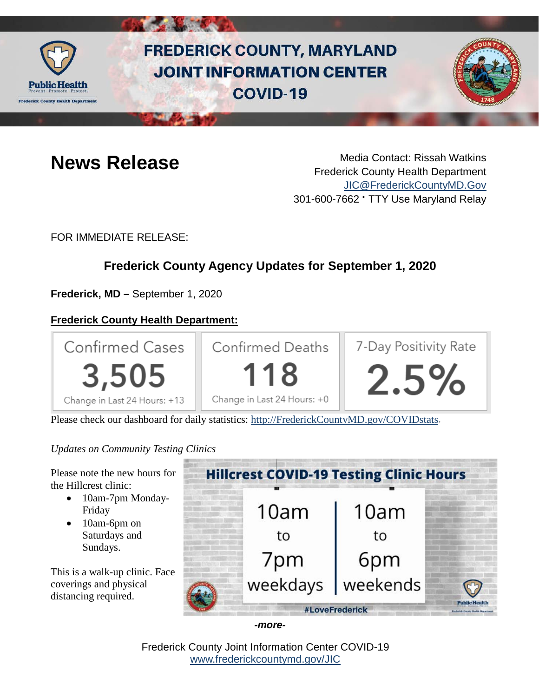

# **FREDERICK COUNTY, MARYLAND JOINT INFORMATION CENTER COVID-19**



**News Release** Media Contact: Rissah Watkins Frederick County Health Department [JIC@FrederickCountyMD.Gov](mailto:JIC@FrederickCountyMD.Gov) 301-600-7662 • TTY Use Maryland Relay

FOR IMMEDIATE RELEASE:

## **Frederick County Agency Updates for September 1, 2020**

**Frederick, MD –** September 1, 2020

## **Frederick County Health Department:**



Please check our dashboard for daily statistics: [http://FrederickCountyMD.gov/COVIDstats.](http://frederickcountymd.gov/COVIDstats)

## *Updates on Community Testing Clinics*

Please note the new hours for the Hillcrest clinic:

- 10am-7pm Monday-Friday
- 10am-6pm on Saturdays and Sundays.

This is a walk-up clinic. Face coverings and physical distancing required.



*-more-*

Frederick County Joint Information Center COVID-19 [www.frederickcountymd.gov/JIC](https://frederickcountymd.gov/JIC)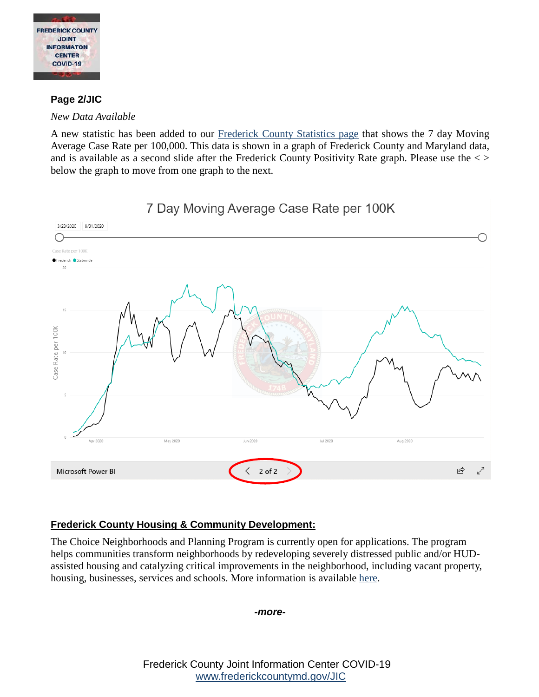

## **Page 2/JIC**

#### *New Data Available*

A new statistic has been added to our [Frederick County Statistics page](http://frederickcountymd.gov/COVIDstats) that shows the 7 day Moving Average Case Rate per 100,000. This data is shown in a graph of Frederick County and Maryland data, and is available as a second slide after the Frederick County Positivity Rate graph. Please use the < > below the graph to move from one graph to the next.



## 7 Day Moving Average Case Rate per 100K

## **Frederick County Housing & Community Development:**

The Choice Neighborhoods and Planning Program is currently open for applications. The program helps communities transform neighborhoods by redeveloping severely distressed public and/or HUDassisted housing and catalyzing critical improvements in the neighborhood, including vacant property, housing, businesses, services and schools. More information is available [here.](https://www.hud.gov/program_offices/spm/gmomgmt/grantsinfo/fundingopps/fy20_cni)

#### *-more-*